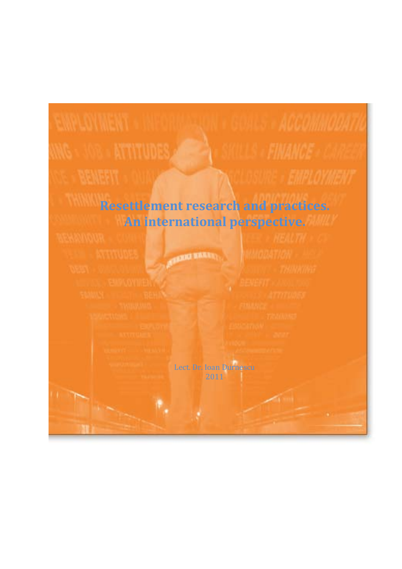# **Resettlement research and practices. An international perspective. OUNCE HARM** Lect. Dr. Ioan Durnescu 2011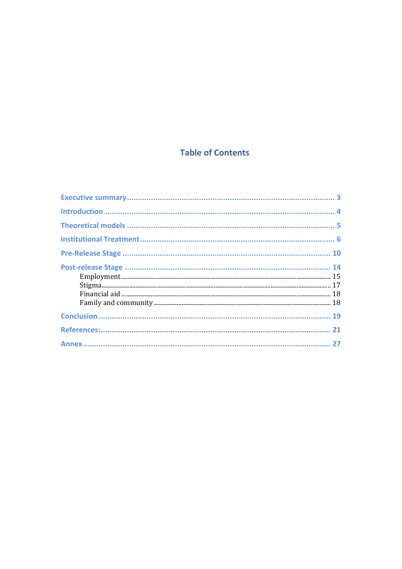# **Table of Contents**

| $\begin{minipage}[c]{0.9\linewidth} \textbf{Emplogment} \textbf{} & \textbf{15} \\ \textbf{Stigma} & \textbf{} & \textbf{17} \\ \textbf{Financial aid} & \textbf{} & \textbf{} \\ \end{minipage}$ |  |
|---------------------------------------------------------------------------------------------------------------------------------------------------------------------------------------------------|--|
|                                                                                                                                                                                                   |  |
|                                                                                                                                                                                                   |  |
|                                                                                                                                                                                                   |  |
|                                                                                                                                                                                                   |  |
|                                                                                                                                                                                                   |  |
|                                                                                                                                                                                                   |  |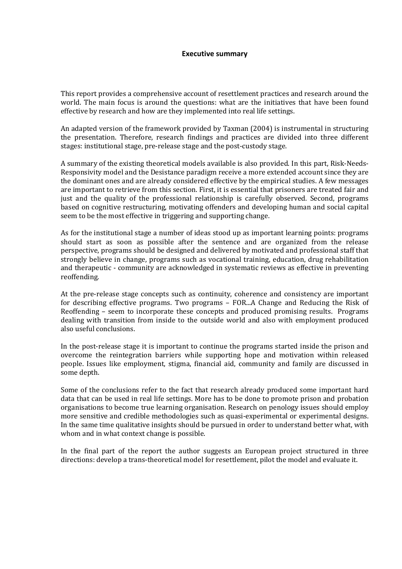### **Executive summary**

This report provides a comprehensive account of resettlement practices and research around the world. The main focus is around the questions: what are the initiatives that have been found effective by research and how are they implemented into real life settings.

An adapted version of the framework provided by Taxman (2004) is instrumental in structuring the presentation. Therefore, research findings and practices are divided into three different stages: institutional stage, pre-release stage and the post-custody stage.

A summary of the existing theoretical models available is also provided. In this part, Risk-Needs-Responsivity model and the Desistance paradigm receive a more extended account since they are the dominant ones and are already considered effective by the empirical studies. A few messages are important to retrieve from this section. First, it is essential that prisoners are treated fair and just and the quality of the professional relationship is carefully observed. Second, programs based on cognitive restructuring, motivating offenders and developing human and social capital seem to be the most effective in triggering and supporting change.

As for the institutional stage a number of ideas stood up as important learning points: programs should start as soon as possible after the sentence and are organized from the release perspective, programs should be designed and delivered by motivated and professional staff that strongly believe in change, programs such as vocational training, education, drug rehabilitation and therapeutic - community are acknowledged in systematic reviews as effective in preventing reoffending.

At the pre-release stage concepts such as continuity, coherence and consistency are important for describing effective programs. Two programs – FOR...A Change and Reducing the Risk of Reoffending – seem to incorporate these concepts and produced promising results. Programs dealing with transition from inside to the outside world and also with employment produced also useful conclusions.

In the post-release stage it is important to continue the programs started inside the prison and overcome the reintegration barriers while supporting hope and motivation within released people. Issues like employment, stigma, financial aid, community and family are discussed in some depth.

Some of the conclusions refer to the fact that research already produced some important hard data that can be used in real life settings. More has to be done to promote prison and probation organisations to become true learning organisation. Research on penology issues should employ more sensitive and credible methodologies such as quasi-experimental or experimental designs. In the same time qualitative insights should be pursued in order to understand better what, with whom and in what context change is possible.

In the final part of the report the author suggests an European project structured in three directions: develop a trans-theoretical model for resettlement, pilot the model and evaluate it.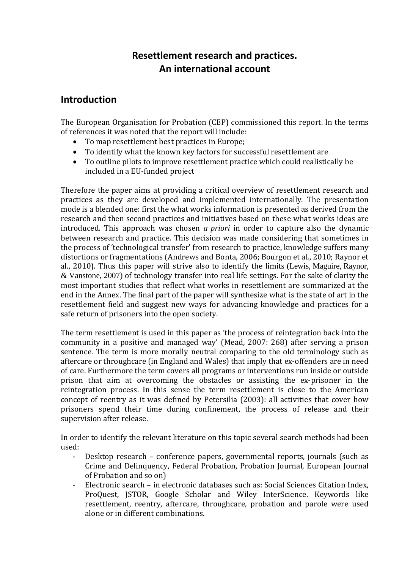# **Resettlement research and practices. An international account**

## **Introduction**

The European Organisation for Probation (CEP) commissioned this report. In the terms of references it was noted that the report will include:

- To map resettlement best practices in Europe;
- To identify what the known key factors for successful resettlement are
- To outline pilots to improve resettlement practice which could realistically be included in a EU-funded project

Therefore the paper aims at providing a critical overview of resettlement research and practices as they are developed and implemented internationally. The presentation mode is a blended one: first the what works information is presented as derived from the research and then second practices and initiatives based on these what works ideas are introduced. This approach was chosen *a priori* in order to capture also the dynamic between research and practice. This decision was made considering that sometimes in the process of 'technological transfer' from research to practice, knowledge suffers many distortions or fragmentations (Andrews and Bonta, 2006; Bourgon et al., 2010; Raynor et al., 2010). Thus this paper will strive also to identify the limits (Lewis, Maguire, Raynor, & Vanstone, 2007) of technology transfer into real life settings. For the sake of clarity the most important studies that reflect what works in resettlement are summarized at the end in the Annex. The final part of the paper will synthesize what is the state of art in the resettlement field and suggest new ways for advancing knowledge and practices for a safe return of prisoners into the open society.

The term resettlement is used in this paper as 'the process of reintegration back into the community in a positive and managed way' (Mead, 2007: 268) after serving a prison sentence. The term is more morally neutral comparing to the old terminology such as aftercare or throughcare (in England and Wales) that imply that ex-offenders are in need of care. Furthermore the term covers all programs or interventions run inside or outside prison that aim at overcoming the obstacles or assisting the ex-prisoner in the reintegration process. In this sense the term resettlement is close to the American concept of reentry as it was defined by Petersilia (2003): all activities that cover how prisoners spend their time during confinement, the process of release and their supervision after release.

In order to identify the relevant literature on this topic several search methods had been used:

- Desktop research conference papers, governmental reports, journals (such as Crime and Delinquency, Federal Probation, Probation Journal, European Journal of Probation and so on)
- Electronic search in electronic databases such as: Social Sciences Citation Index, ProQuest, JSTOR, Google Scholar and Wiley InterScience. Keywords like resettlement, reentry, aftercare, throughcare, probation and parole were used alone or in different combinations.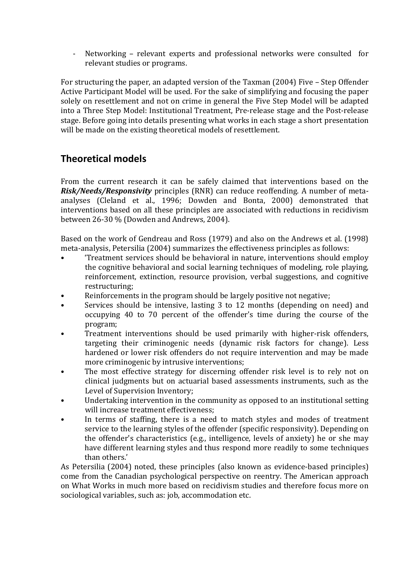Networking - relevant experts and professional networks were consulted for relevant studies or programs.

For structuring the paper, an adapted version of the Taxman (2004) Five – Step Offender Active Participant Model will be used. For the sake of simplifying and focusing the paper solely on resettlement and not on crime in general the Five Step Model will be adapted into a Three Step Model: Institutional Treatment, Pre-release stage and the Post-release stage. Before going into details presenting what works in each stage a short presentation will be made on the existing theoretical models of resettlement.

# **Theoretical models**

From the current research it can be safely claimed that interventions based on the *Risk/Needs/Responsivity* principles (RNR) can reduce reoffending. A number of metaanalyses (Cleland et al., 1996; Dowden and Bonta, 2000) demonstrated that interventions based on all these principles are associated with reductions in recidivism between 26-30 % (Dowden and Andrews, 2004).

Based on the work of Gendreau and Ross (1979) and also on the Andrews et al. (1998) meta-analysis, Petersilia (2004) summarizes the effectiveness principles as follows:

- 'Treatment services should be behavioral in nature, interventions should employ the cognitive behavioral and social learning techniques of modeling, role playing, reinforcement, extinction, resource provision, verbal suggestions, and cognitive restructuring;
- Reinforcements in the program should be largely positive not negative;
- Services should be intensive, lasting 3 to 12 months (depending on need) and occupying 40 to 70 percent of the offender's time during the course of the program;
- Treatment interventions should be used primarily with higher-risk offenders, targeting their criminogenic needs (dynamic risk factors for change). Less hardened or lower risk offenders do not require intervention and may be made more criminogenic by intrusive interventions;
- The most effective strategy for discerning offender risk level is to rely not on clinical judgments but on actuarial based assessments instruments, such as the Level of Supervision Inventory;
- Undertaking intervention in the community as opposed to an institutional setting will increase treatment effectiveness;
- In terms of staffing, there is a need to match styles and modes of treatment service to the learning styles of the offender (specific responsivity). Depending on the offender's characteristics (e.g., intelligence, levels of anxiety) he or she may have different learning styles and thus respond more readily to some techniques than others.'

As Petersilia (2004) noted, these principles (also known as evidence-based principles) come from the Canadian psychological perspective on reentry. The American approach on What Works in much more based on recidivism studies and therefore focus more on sociological variables, such as: job, accommodation etc.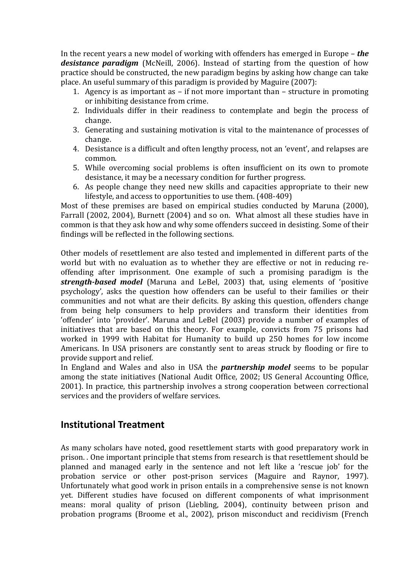In the recent years a new model of working with offenders has emerged in Europe – *the desistance paradigm* (McNeill, 2006). Instead of starting from the question of how practice should be constructed, the new paradigm begins by asking how change can take place. An useful summary of this paradigm is provided by Maguire (2007):

- 1. Agency is as important as if not more important than structure in promoting or inhibiting desistance from crime.
- 2. Individuals differ in their readiness to contemplate and begin the process of change.
- 3. Generating and sustaining motivation is vital to the maintenance of processes of change.
- 4. Desistance is a difficult and often lengthy process, not an 'event', and relapses are common.
- 5. While overcoming social problems is often insufficient on its own to promote desistance, it may be a necessary condition for further progress.
- 6. As people change they need new skills and capacities appropriate to their new lifestyle, and access to opportunities to use them. (408-409)

Most of these premises are based on empirical studies conducted by Maruna (2000), Farrall (2002, 2004), Burnett (2004) and so on. What almost all these studies have in common is that they ask how and why some offenders succeed in desisting. Some of their findings will be reflected in the following sections.

Other models of resettlement are also tested and implemented in different parts of the world but with no evaluation as to whether they are effective or not in reducing reoffending after imprisonment. One example of such a promising paradigm is the *strength-based model* (Maruna and LeBel, 2003) that, using elements of 'positive psychology', asks the question how offenders can be useful to their families or their communities and not what are their deficits. By asking this question, offenders change from being help consumers to help providers and transform their identities from 'offender' into 'provider'. Maruna and LeBel (2003) provide a number of examples of initiatives that are based on this theory. For example, convicts from 75 prisons had worked in 1999 with Habitat for Humanity to build up 250 homes for low income Americans. In USA prisoners are constantly sent to areas struck by flooding or fire to provide support and relief.

In England and Wales and also in USA the *partnership model* seems to be popular among the state initiatives (National Audit Office, 2002; US General Accounting Office, 2001). In practice, this partnership involves a strong cooperation between correctional services and the providers of welfare services.

# **Institutional Treatment**

As many scholars have noted, good resettlement starts with good preparatory work in prison. . One important principle that stems from research is that resettlement should be planned and managed early in the sentence and not left like a 'rescue job' for the probation service or other post-prison services (Maguire and Raynor, 1997). Unfortunately what good work in prison entails in a comprehensive sense is not known yet. Different studies have focused on different components of what imprisonment means: moral quality of prison (Liebling, 2004), continuity between prison and probation programs (Broome et al., 2002), prison misconduct and recidivism (French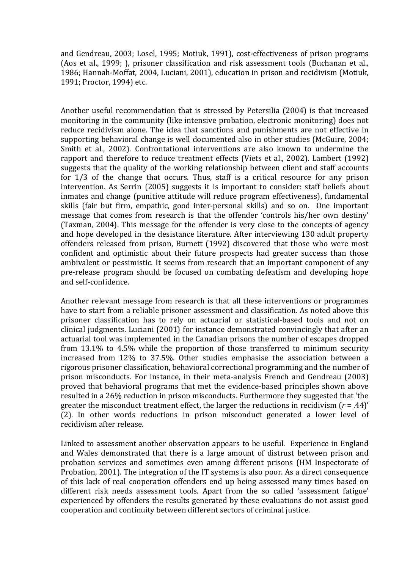and Gendreau, 2003; Losel, 1995; Motiuk, 1991), cost-effectiveness of prison programs (Aos et al., 1999; ), prisoner classification and risk assessment tools (Buchanan et al., 1986; Hannah-Moffat, 2004, Luciani, 2001), education in prison and recidivism (Motiuk, 1991; Proctor, 1994) etc.

Another useful recommendation that is stressed by Petersilia (2004) is that increased monitoring in the community (like intensive probation, electronic monitoring) does not reduce recidivism alone. The idea that sanctions and punishments are not effective in supporting behavioral change is well documented also in other studies (McGuire, 2004; Smith et al., 2002). Confrontational interventions are also known to undermine the rapport and therefore to reduce treatment effects (Viets et al., 2002). Lambert (1992) suggests that the quality of the working relationship between client and staff accounts for 1/3 of the change that occurs. Thus, staff is a critical resource for any prison intervention. As Serrin (2005) suggests it is important to consider: staff beliefs about inmates and change (punitive attitude will reduce program effectiveness), fundamental skills (fair but firm, empathic, good inter-personal skills) and so on. One important message that comes from research is that the offender 'controls his/her own destiny' (Taxman, 2004). This message for the offender is very close to the concepts of agency and hope developed in the desistance literature. After interviewing 130 adult property offenders released from prison, Burnett (1992) discovered that those who were most confident and optimistic about their future prospects had greater success than those ambivalent or pessimistic. It seems from research that an important component of any pre-release program should be focused on combating defeatism and developing hope and self-confidence.

Another relevant message from research is that all these interventions or programmes have to start from a reliable prisoner assessment and classification. As noted above this prisoner classification has to rely on actuarial or statistical-based tools and not on clinical judgments. Luciani (2001) for instance demonstrated convincingly that after an actuarial tool was implemented in the Canadian prisons the number of escapes dropped from 13.1% to 4.5% while the proportion of those transferred to minimum security increased from 12% to 37.5%. Other studies emphasise the association between a rigorous prisoner classification, behavioral correctional programming and the number of prison misconducts. For instance, in their meta-analysis French and Gendreau (2003) proved that behavioral programs that met the evidence-based principles shown above resulted in a 26% reduction in prison misconducts. Furthermore they suggested that 'the greater the misconduct treatment effect, the larger the reductions in recidivism (*r* = .44)' (2). In other words reductions in prison misconduct generated a lower level of recidivism after release.

Linked to assessment another observation appears to be useful. Experience in England and Wales demonstrated that there is a large amount of distrust between prison and probation services and sometimes even among different prisons (HM Inspectorate of Probation, 2001). The integration of the IT systems is also poor. As a direct consequence of this lack of real cooperation offenders end up being assessed many times based on different risk needs assessment tools. Apart from the so called 'assessment fatigue' experienced by offenders the results generated by these evaluations do not assist good cooperation and continuity between different sectors of criminal justice.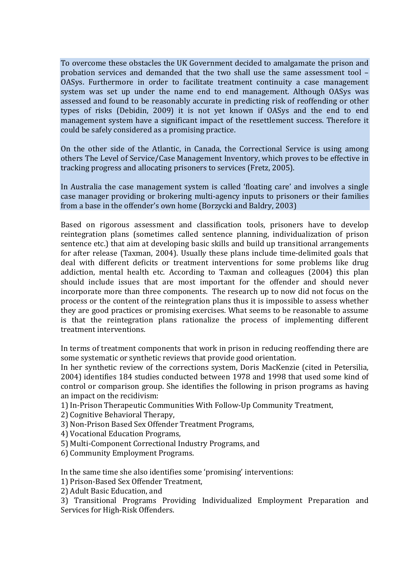To overcome these obstacles the UK Government decided to amalgamate the prison and probation services and demanded that the two shall use the same assessment tool – OASys. Furthermore in order to facilitate treatment continuity a case management system was set up under the name end to end management. Although OASys was assessed and found to be reasonably accurate in predicting risk of reoffending or other types of risks (Debidin, 2009) it is not yet known if OASys and the end to end management system have a significant impact of the resettlement success. Therefore it could be safely considered as a promising practice.

On the other side of the Atlantic, in Canada, the Correctional Service is using among others The Level of Service/Case Management Inventory, which proves to be effective in tracking progress and allocating prisoners to services (Fretz, 2005).

In Australia the case management system is called 'floating care' and involves a single case manager providing or brokering multi-agency inputs to prisoners or their families from a base in the offender's own home (Borzycki and Baldry, 2003)

Based on rigorous assessment and classification tools, prisoners have to develop reintegration plans (sometimes called sentence planning, individualization of prison sentence etc.) that aim at developing basic skills and build up transitional arrangements for after release (Taxman, 2004). Usually these plans include time-delimited goals that deal with different deficits or treatment interventions for some problems like drug addiction, mental health etc. According to Taxman and colleagues (2004) this plan should include issues that are most important for the offender and should never incorporate more than three components. The research up to now did not focus on the process or the content of the reintegration plans thus it is impossible to assess whether they are good practices or promising exercises. What seems to be reasonable to assume is that the reintegration plans rationalize the process of implementing different treatment interventions.

In terms of treatment components that work in prison in reducing reoffending there are some systematic or synthetic reviews that provide good orientation.

In her synthetic review of the corrections system, Doris MacKenzie (cited in Petersilia, 2004) identifies 184 studies conducted between 1978 and 1998 that used some kind of control or comparison group. She identifies the following in prison programs as having an impact on the recidivism:

1) In-Prison Therapeutic Communities With Follow-Up Community Treatment,

- 2) Cognitive Behavioral Therapy,
- 3) Non-Prison Based Sex Offender Treatment Programs,
- 4) Vocational Education Programs,
- 5) Multi-Component Correctional Industry Programs, and
- 6) Community Employment Programs.

In the same time she also identifies some 'promising' interventions:

- 1) Prison-Based Sex Offender Treatment,
- 2) Adult Basic Education, and

3) Transitional Programs Providing Individualized Employment Preparation and Services for High-Risk Offenders.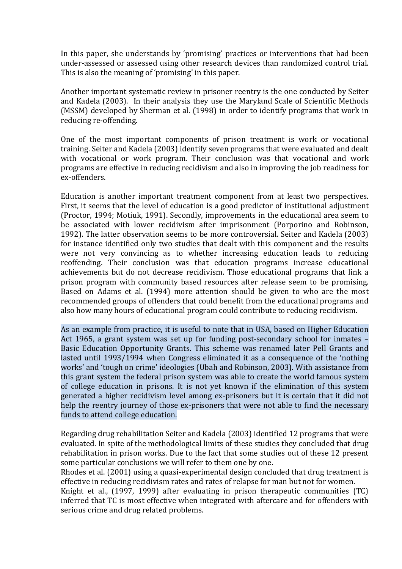In this paper, she understands by 'promising' practices or interventions that had been under-assessed or assessed using other research devices than randomized control trial. This is also the meaning of 'promising' in this paper.

Another important systematic review in prisoner reentry is the one conducted by Seiter and Kadela (2003). In their analysis they use the Maryland Scale of Scientific Methods (MSSM) developed by Sherman et al. (1998) in order to identify programs that work in reducing re-offending.

One of the most important components of prison treatment is work or vocational training. Seiter and Kadela (2003) identify seven programs that were evaluated and dealt with vocational or work program. Their conclusion was that vocational and work programs are effective in reducing recidivism and also in improving the job readiness for ex-offenders.

Education is another important treatment component from at least two perspectives. First, it seems that the level of education is a good predictor of institutional adjustment (Proctor, 1994; Motiuk, 1991). Secondly, improvements in the educational area seem to be associated with lower recidivism after imprisonment (Porporino and Robinson, 1992). The latter observation seems to be more controversial. Seiter and Kadela (2003) for instance identified only two studies that dealt with this component and the results were not very convincing as to whether increasing education leads to reducing reoffending. Their conclusion was that education programs increase educational achievements but do not decrease recidivism. Those educational programs that link a prison program with community based resources after release seem to be promising. Based on Adams et al. (1994) more attention should be given to who are the most recommended groups of offenders that could benefit from the educational programs and also how many hours of educational program could contribute to reducing recidivism.

As an example from practice, it is useful to note that in USA, based on Higher Education Act 1965, a grant system was set up for funding post-secondary school for inmates – Basic Education Opportunity Grants. This scheme was renamed later Pell Grants and lasted until 1993/1994 when Congress eliminated it as a consequence of the 'nothing works' and 'tough on crime' ideologies (Ubah and Robinson, 2003). With assistance from this grant system the federal prison system was able to create the world famous system of college education in prisons. It is not yet known if the elimination of this system generated a higher recidivism level among ex-prisoners but it is certain that it did not help the reentry journey of those ex-prisoners that were not able to find the necessary funds to attend college education.

Regarding drug rehabilitation Seiter and Kadela (2003) identified 12 programs that were evaluated. In spite of the methodological limits of these studies they concluded that drug rehabilitation in prison works. Due to the fact that some studies out of these 12 present some particular conclusions we will refer to them one by one.

Rhodes et al. (2001) using a quasi-experimental design concluded that drug treatment is effective in reducing recidivism rates and rates of relapse for man but not for women.

Knight et al., (1997, 1999) after evaluating in prison therapeutic communities (TC) inferred that TC is most effective when integrated with aftercare and for offenders with serious crime and drug related problems.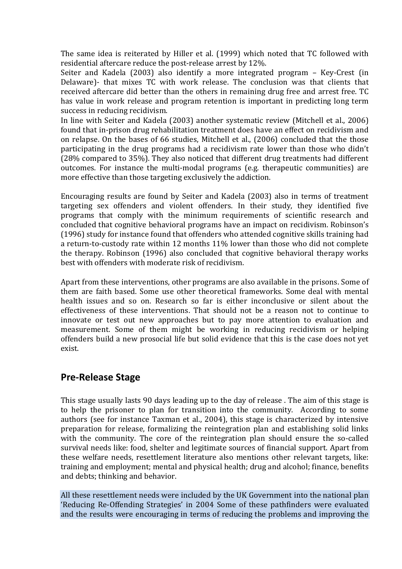The same idea is reiterated by Hiller et al. (1999) which noted that TC followed with residential aftercare reduce the post-release arrest by 12%.

Seiter and Kadela (2003) also identify a more integrated program – Key-Crest (in Delaware)- that mixes TC with work release. The conclusion was that clients that received aftercare did better than the others in remaining drug free and arrest free. TC has value in work release and program retention is important in predicting long term success in reducing recidivism.

In line with Seiter and Kadela (2003) another systematic review (Mitchell et al., 2006) found that in-prison drug rehabilitation treatment does have an effect on recidivism and on relapse. On the bases of 66 studies, Mitchell et al., (2006) concluded that the those participating in the drug programs had a recidivism rate lower than those who didn't (28% compared to 35%). They also noticed that different drug treatments had different outcomes. For instance the multi-modal programs (e.g. therapeutic communities) are more effective than those targeting exclusively the addiction.

Encouraging results are found by Seiter and Kadela (2003) also in terms of treatment targeting sex offenders and violent offenders. In their study, they identified five programs that comply with the minimum requirements of scientific research and concluded that cognitive behavioral programs have an impact on recidivism. Robinson's (1996) study for instance found that offenders who attended cognitive skills training had a return-to-custody rate within 12 months 11% lower than those who did not complete the therapy. Robinson (1996) also concluded that cognitive behavioral therapy works best with offenders with moderate risk of recidivism.

Apart from these interventions, other programs are also available in the prisons. Some of them are faith based. Some use other theoretical frameworks. Some deal with mental health issues and so on. Research so far is either inconclusive or silent about the effectiveness of these interventions. That should not be a reason not to continue to innovate or test out new approaches but to pay more attention to evaluation and measurement. Some of them might be working in reducing recidivism or helping offenders build a new prosocial life but solid evidence that this is the case does not yet exist.

### **Pre-Release Stage**

This stage usually lasts 90 days leading up to the day of release . The aim of this stage is to help the prisoner to plan for transition into the community. According to some authors (see for instance Taxman et al., 2004), this stage is characterized by intensive preparation for release, formalizing the reintegration plan and establishing solid links with the community. The core of the reintegration plan should ensure the so-called survival needs like: food, shelter and legitimate sources of financial support. Apart from these welfare needs, resettlement literature also mentions other relevant targets, like: training and employment; mental and physical health; drug and alcohol; finance, benefits and debts; thinking and behavior.

All these resettlement needs were included by the UK Government into the national plan 'Reducing Re-Offending Strategies' in 2004 Some of these pathfinders were evaluated and the results were encouraging in terms of reducing the problems and improving the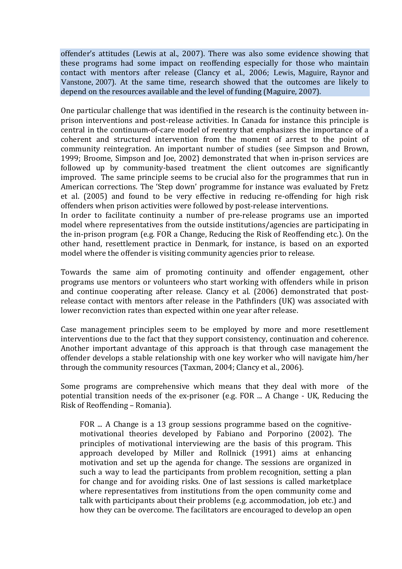offender's attitudes (Lewis at al., 2007). There was also some evidence showing that these programs had some impact on reoffending especially for those who maintain contact with mentors after release (Clancy et al., 2006; Lewis, Maguire, Raynor and Vanstone, 2007). At the same time, research showed that the outcomes are likely to depend on the resources available and the level of funding (Maguire, 2007).

One particular challenge that was identified in the research is the continuity between inprison interventions and post-release activities. In Canada for instance this principle is central in the continuum-of-care model of reentry that emphasizes the importance of a coherent and structured intervention from the moment of arrest to the point of community reintegration. An important number of studies (see Simpson and Brown, 1999; Broome, Simpson and Joe, 2002) demonstrated that when in-prison services are followed up by community-based treatment the client outcomes are significantly improved. The same principle seems to be crucial also for the programmes that run in American corrections. The 'Step down' programme for instance was evaluated by Fretz et al. (2005) and found to be very effective in reducing re-offending for high risk offenders when prison activities were followed by post-release interventions.

In order to facilitate continuity a number of pre-release programs use an imported model where representatives from the outside institutions/agencies are participating in the in-prison program (e.g. FOR a Change, Reducing the Risk of Reoffending etc.). On the other hand, resettlement practice in Denmark, for instance, is based on an exported model where the offender is visiting community agencies prior to release.

Towards the same aim of promoting continuity and offender engagement, other programs use mentors or volunteers who start working with offenders while in prison and continue cooperating after release. Clancy et al. (2006) demonstrated that postrelease contact with mentors after release in the Pathfinders (UK) was associated with lower reconviction rates than expected within one year after release.

Case management principles seem to be employed by more and more resettlement interventions due to the fact that they support consistency, continuation and coherence. Another important advantage of this approach is that through case management the offender develops a stable relationship with one key worker who will navigate him/her through the community resources (Taxman, 2004; Clancy et al., 2006).

Some programs are comprehensive which means that they deal with more of the potential transition needs of the ex-prisoner (e.g. FOR ... A Change - UK, Reducing the Risk of Reoffending – Romania).

FOR ... A Change is a 13 group sessions programme based on the cognitivemotivational theories developed by Fabiano and Porporino (2002). The principles of motivational interviewing are the basis of this program. This approach developed by Miller and Rollnick (1991) aims at enhancing motivation and set up the agenda for change. The sessions are organized in such a way to lead the participants from problem recognition, setting a plan for change and for avoiding risks. One of last sessions is called marketplace where representatives from institutions from the open community come and talk with participants about their problems (e.g. accommodation, job etc.) and how they can be overcome. The facilitators are encouraged to develop an open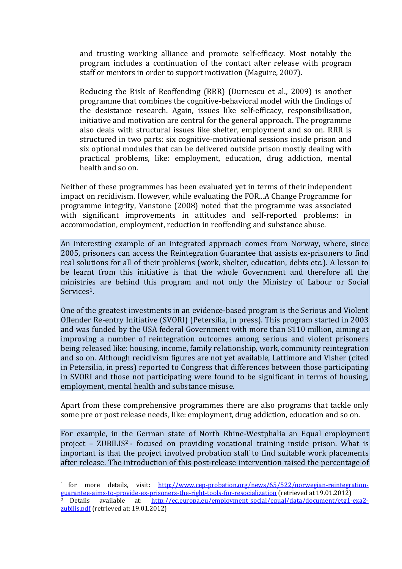and trusting working alliance and promote self-efficacy. Most notably the program includes a continuation of the contact after release with program staff or mentors in order to support motivation (Maguire, 2007).

Reducing the Risk of Reoffending (RRR) (Durnescu et al., 2009) is another programme that combines the cognitive-behavioral model with the findings of the desistance research. Again, issues like self-efficacy, responsibilisation, initiative and motivation are central for the general approach. The programme also deals with structural issues like shelter, employment and so on. RRR is structured in two parts: six cognitive-motivational sessions inside prison and six optional modules that can be delivered outside prison mostly dealing with practical problems, like: employment, education, drug addiction, mental health and so on.

Neither of these programmes has been evaluated yet in terms of their independent impact on recidivism. However, while evaluating the FOR...A Change Programme for programme integrity, Vanstone (2008) noted that the programme was associated with significant improvements in attitudes and self-reported problems: in accommodation, employment, reduction in reoffending and substance abuse.

An interesting example of an integrated approach comes from Norway, where, since 2005, prisoners can access the Reintegration Guarantee that assists ex-prisoners to find real solutions for all of their problems (work, shelter, education, debts etc.). A lesson to be learnt from this initiative is that the whole Government and therefore all the ministries are behind this program and not only the Ministry of Labour or Social Services<sup>[1](#page-11-0)</sup>.

One of the greatest investments in an evidence-based program is the Serious and Violent Offender Re-entry Initiative (SVORI) (Petersilia, in press). This program started in 2003 and was funded by the USA federal Government with more than \$110 million, aiming at improving a number of reintegration outcomes among serious and violent prisoners being released like: housing, income, family relationship, work, community reintegration and so on. Although recidivism figures are not yet available, Lattimore and Visher (cited in Petersilia, in press) reported to Congress that differences between those participating in SVORI and those not participating were found to be significant in terms of housing, employment, mental health and substance misuse.

Apart from these comprehensive programmes there are also programs that tackle only some pre or post release needs, like: employment, drug addiction, education and so on.

For example, in the German state of North Rhine-Westphalia an Equal employment project – ZUBILIS[2](#page-11-1) - focused on providing vocational training inside prison. What is important is that the project involved probation staff to find suitable work placements after release. The introduction of this post-release intervention raised the percentage of

<span id="page-11-0"></span><sup>1</sup> for more details, visit: [http://www.cep-probation.org/news/65/522/norwegian-reintegration](http://www.cep-probation.org/news/65/522/norwegian-reintegration-guarantee-aims-to-provide-ex-prisoners-the-right-tools-for-resocialization)[guarantee-aims-to-provide-ex-prisoners-the-right-tools-for-resocialization](http://www.cep-probation.org/news/65/522/norwegian-reintegration-guarantee-aims-to-provide-ex-prisoners-the-right-tools-for-resocialization) (retrieved at 19.01.2012)

<span id="page-11-1"></span><sup>&</sup>lt;sup>2</sup> Details available at: [http://ec.europa.eu/employment\\_social/equal/data/document/etg1-exa2](http://ec.europa.eu/employment_social/equal/data/document/etg1-exa2-zubilis.pdf) [zubilis.pdf](http://ec.europa.eu/employment_social/equal/data/document/etg1-exa2-zubilis.pdf) (retrieved at: 19.01.2012)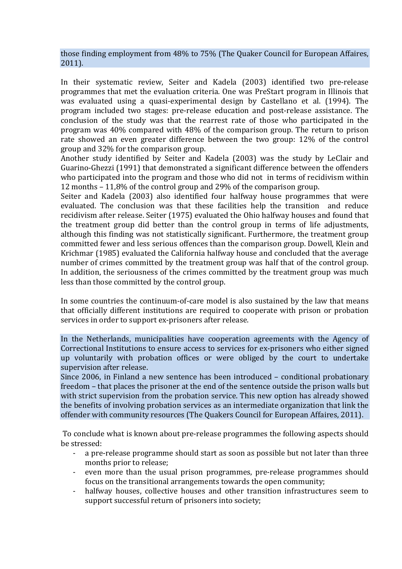those finding employment from 48% to 75% (The Quaker Council for European Affaires, 2011).

In their systematic review, Seiter and Kadela (2003) identified two pre-release programmes that met the evaluation criteria. One was PreStart program in Illinois that was evaluated using a quasi-experimental design by Castellano et al. (1994). The program included two stages: pre-release education and post-release assistance. The conclusion of the study was that the rearrest rate of those who participated in the program was 40% compared with 48% of the comparison group. The return to prison rate showed an even greater difference between the two group: 12% of the control group and 32% for the comparison group.

Another study identified by Seiter and Kadela (2003) was the study by LeClair and Guarino-Ghezzi (1991) that demonstrated a significant difference between the offenders who participated into the program and those who did not in terms of recidivism within 12 months – 11,8% of the control group and 29% of the comparison group.

Seiter and Kadela (2003) also identified four halfway house programmes that were evaluated. The conclusion was that these facilities help the transition and reduce recidivism after release. Seiter (1975) evaluated the Ohio halfway houses and found that the treatment group did better than the control group in terms of life adjustments, although this finding was not statistically significant. Furthermore, the treatment group committed fewer and less serious offences than the comparison group. Dowell, Klein and Krichmar (1985) evaluated the California halfway house and concluded that the average number of crimes committed by the treatment group was half that of the control group. In addition, the seriousness of the crimes committed by the treatment group was much less than those committed by the control group.

In some countries the continuum-of-care model is also sustained by the law that means that officially different institutions are required to cooperate with prison or probation services in order to support ex-prisoners after release.

In the Netherlands, municipalities have cooperation agreements with the Agency of Correctional Institutions to ensure access to services for ex-prisoners who either signed up voluntarily with probation offices or were obliged by the court to undertake supervision after release.

Since 2006, in Finland a new sentence has been introduced – conditional probationary freedom – that places the prisoner at the end of the sentence outside the prison walls but with strict supervision from the probation service. This new option has already showed the benefits of involving probation services as an intermediate organization that link the offender with community resources (The Quakers Council for European Affaires, 2011).

To conclude what is known about pre-release programmes the following aspects should be stressed:

- a pre-release programme should start as soon as possible but not later than three months prior to release;
- even more than the usual prison programmes, pre-release programmes should focus on the transitional arrangements towards the open community;
- halfway houses, collective houses and other transition infrastructures seem to support successful return of prisoners into society;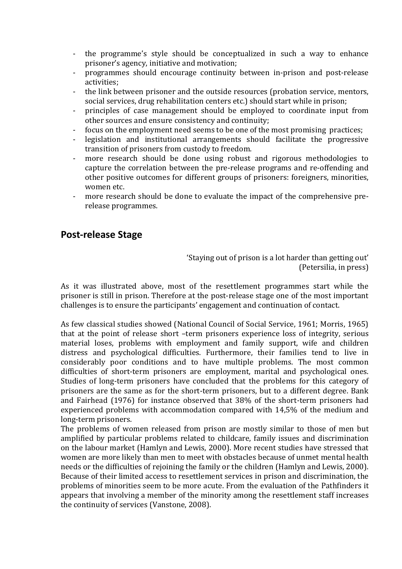- the programme's style should be conceptualized in such a way to enhance prisoner's agency, initiative and motivation;
- programmes should encourage continuity between in-prison and post-release activities;
- the link between prisoner and the outside resources (probation service, mentors, social services, drug rehabilitation centers etc.) should start while in prison;
- principles of case management should be employed to coordinate input from other sources and ensure consistency and continuity;
- focus on the employment need seems to be one of the most promising practices;
- legislation and institutional arrangements should facilitate the progressive transition of prisoners from custody to freedom.
- more research should be done using robust and rigorous methodologies to capture the correlation between the pre-release programs and re-offending and other positive outcomes for different groups of prisoners: foreigners, minorities, women etc.
- more research should be done to evaluate the impact of the comprehensive prerelease programmes.

# **Post-release Stage**

'Staying out of prison is a lot harder than getting out' (Petersilia, in press)

As it was illustrated above, most of the resettlement programmes start while the prisoner is still in prison. Therefore at the post-release stage one of the most important challenges is to ensure the participants' engagement and continuation of contact.

As few classical studies showed (National Council of Social Service, 1961; Morris, 1965) that at the point of release short –term prisoners experience loss of integrity, serious material loses, problems with employment and family support, wife and children distress and psychological difficulties. Furthermore, their families tend to live in considerably poor conditions and to have multiple problems. The most common difficulties of short-term prisoners are employment, marital and psychological ones. Studies of long-term prisoners have concluded that the problems for this category of prisoners are the same as for the short-term prisoners, but to a different degree. Bank and Fairhead (1976) for instance observed that 38% of the short-term prisoners had experienced problems with accommodation compared with 14,5% of the medium and long-term prisoners.

The problems of women released from prison are mostly similar to those of men but amplified by particular problems related to childcare, family issues and discrimination on the labour market (Hamlyn and Lewis, 2000). More recent studies have stressed that women are more likely than men to meet with obstacles because of unmet mental health needs or the difficulties of rejoining the family or the children (Hamlyn and Lewis, 2000). Because of their limited access to resettlement services in prison and discrimination, the problems of minorities seem to be more acute. From the evaluation of the Pathfinders it appears that involving a member of the minority among the resettlement staff increases the continuity of services (Vanstone, 2008).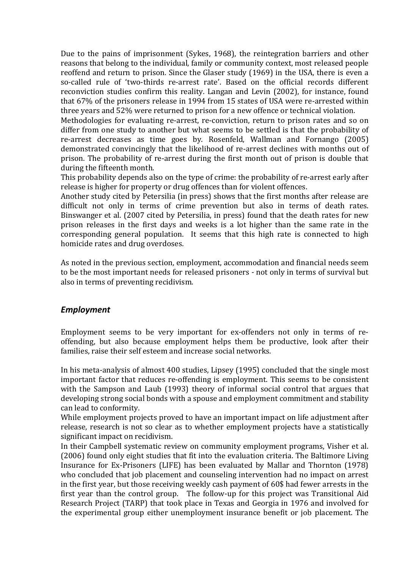Due to the pains of imprisonment (Sykes, 1968), the reintegration barriers and other reasons that belong to the individual, family or community context, most released people reoffend and return to prison. Since the Glaser study (1969) in the USA, there is even a so-called rule of 'two-thirds re-arrest rate'. Based on the official records different reconviction studies confirm this reality. Langan and Levin (2002), for instance, found that 67% of the prisoners release in 1994 from 15 states of USA were re-arrested within three years and 52% were returned to prison for a new offence or technical violation.

Methodologies for evaluating re-arrest, re-conviction, return to prison rates and so on differ from one study to another but what seems to be settled is that the probability of re-arrest decreases as time goes by. Rosenfeld, Wallman and Fornango (2005) demonstrated convincingly that the likelihood of re-arrest declines with months out of prison. The probability of re-arrest during the first month out of prison is double that during the fifteenth month.

This probability depends also on the type of crime: the probability of re-arrest early after release is higher for property or drug offences than for violent offences.

Another study cited by Petersilia (in press) shows that the first months after release are difficult not only in terms of crime prevention but also in terms of death rates. Binswanger et al. (2007 cited by Petersilia, in press) found that the death rates for new prison releases in the first days and weeks is a lot higher than the same rate in the corresponding general population. It seems that this high rate is connected to high homicide rates and drug overdoses.

As noted in the previous section, employment, accommodation and financial needs seem to be the most important needs for released prisoners - not only in terms of survival but also in terms of preventing recidivism.

### *Employment*

Employment seems to be very important for ex-offenders not only in terms of reoffending, but also because employment helps them be productive, look after their families, raise their self esteem and increase social networks.

In his meta-analysis of almost 400 studies, Lipsey (1995) concluded that the single most important factor that reduces re-offending is employment. This seems to be consistent with the Sampson and Laub (1993) theory of informal social control that argues that developing strong social bonds with a spouse and employment commitment and stability can lead to conformity.

While employment projects proved to have an important impact on life adjustment after release, research is not so clear as to whether employment projects have a statistically significant impact on recidivism.

In their Campbell systematic review on community employment programs, Visher et al. (2006) found only eight studies that fit into the evaluation criteria. The Baltimore Living Insurance for Ex-Prisoners (LIFE) has been evaluated by Mallar and Thornton (1978) who concluded that job placement and counseling intervention had no impact on arrest in the first year, but those receiving weekly cash payment of 60\$ had fewer arrests in the first year than the control group. The follow-up for this project was Transitional Aid Research Project (TARP) that took place in Texas and Georgia in 1976 and involved for the experimental group either unemployment insurance benefit or job placement. The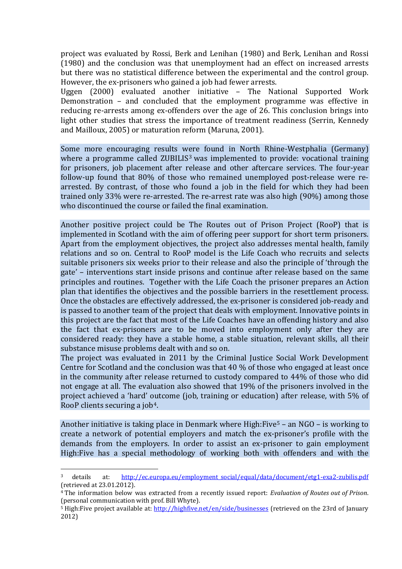project was evaluated by Rossi, Berk and Lenihan (1980) and Berk, Lenihan and Rossi (1980) and the conclusion was that unemployment had an effect on increased arrests but there was no statistical difference between the experimental and the control group. However, the ex-prisoners who gained a job had fewer arrests.

Uggen (2000) evaluated another initiative – The National Supported Work Demonstration – and concluded that the employment programme was effective in reducing re-arrests among ex-offenders over the age of 26. This conclusion brings into light other studies that stress the importance of treatment readiness (Serrin, Kennedy and Mailloux, 2005) or maturation reform (Maruna, 2001).

Some more encouraging results were found in North Rhine-Westphalia (Germany) where a programme called ZUBILIS<sup>[3](#page-15-0)</sup> was implemented to provide: vocational training for prisoners, job placement after release and other aftercare services. The four-year follow-up found that 80% of those who remained unemployed post-release were rearrested. By contrast, of those who found a job in the field for which they had been trained only 33% were re-arrested. The re-arrest rate was also high (90%) among those who discontinued the course or failed the final examination.

Another positive project could be The Routes out of Prison Project (RooP) that is implemented in Scotland with the aim of offering peer support for short term prisoners. Apart from the employment objectives, the project also addresses mental health, family relations and so on. Central to RooP model is the Life Coach who recruits and selects suitable prisoners six weeks prior to their release and also the principle of 'through the gate' – interventions start inside prisons and continue after release based on the same principles and routines. Together with the Life Coach the prisoner prepares an Action plan that identifies the objectives and the possible barriers in the resettlement process. Once the obstacles are effectively addressed, the ex-prisoner is considered job-ready and is passed to another team of the project that deals with employment. Innovative points in this project are the fact that most of the Life Coaches have an offending history and also the fact that ex-prisoners are to be moved into employment only after they are considered ready: they have a stable home, a stable situation, relevant skills, all their substance misuse problems dealt with and so on.

The project was evaluated in 2011 by the Criminal Justice Social Work Development Centre for Scotland and the conclusion was that 40 % of those who engaged at least once in the community after release returned to custody compared to 44% of those who did not engage at all. The evaluation also showed that 19% of the prisoners involved in the project achieved a 'hard' outcome (job, training or education) after release, with 5% of RooP clients securing a job[4](#page-15-1).

Another initiative is taking place in Denmark where High:Five<sup>[5](#page-15-2)</sup> – an NGO – is working to create a network of potential employers and match the ex-prisoner's profile with the demands from the employers. In order to assist an ex-prisoner to gain employment High:Five has a special methodology of working both with offenders and with the

<span id="page-15-0"></span> <sup>3</sup> details at: [http://ec.europa.eu/employment\\_social/equal/data/document/etg1-exa2-zubilis.pdf](http://ec.europa.eu/employment_social/equal/data/document/etg1-exa2-zubilis.pdf) (retrieved at 23.01.2012).

<span id="page-15-1"></span><sup>4</sup> The information below was extracted from a recently issued report: *Evaluation of Routes out of Prison*. (personal communication with prof. Bill Whyte).

<span id="page-15-2"></span><sup>&</sup>lt;sup>5</sup> High:Five project available at:<http://highfive.net/en/side/businesses> (retrieved on the 23rd of January 2012)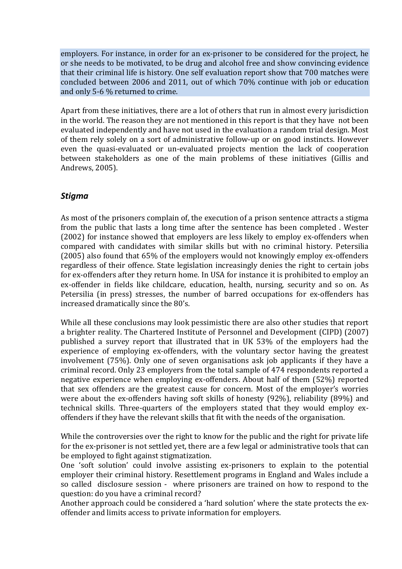employers. For instance, in order for an ex-prisoner to be considered for the project, he or she needs to be motivated, to be drug and alcohol free and show convincing evidence that their criminal life is history. One self evaluation report show that 700 matches were concluded between 2006 and 2011, out of which 70% continue with job or education and only 5-6 % returned to crime.

Apart from these initiatives, there are a lot of others that run in almost every jurisdiction in the world. The reason they are not mentioned in this report is that they have not been evaluated independently and have not used in the evaluation a random trial design. Most of them rely solely on a sort of administrative follow-up or on good instincts. However even the quasi-evaluated or un-evaluated projects mention the lack of cooperation between stakeholders as one of the main problems of these initiatives (Gillis and Andrews, 2005).

### *Stigma*

As most of the prisoners complain of, the execution of a prison sentence attracts a stigma from the public that lasts a long time after the sentence has been completed . Wester (2002) for instance showed that employers are less likely to employ ex-offenders when compared with candidates with similar skills but with no criminal history. Petersilia (2005) also found that 65% of the employers would not knowingly employ ex-offenders regardless of their offence. State legislation increasingly denies the right to certain jobs for ex-offenders after they return home. In USA for instance it is prohibited to employ an ex-offender in fields like childcare, education, health, nursing, security and so on. As Petersilia (in press) stresses, the number of barred occupations for ex-offenders has increased dramatically since the 80's.

While all these conclusions may look pessimistic there are also other studies that report a brighter reality. The Chartered Institute of Personnel and Development (CIPD) (2007) published a survey report that illustrated that in UK 53% of the employers had the experience of employing ex-offenders, with the voluntary sector having the greatest involvement (75%). Only one of seven organisations ask job applicants if they have a criminal record. Only 23 employers from the total sample of 474 respondents reported a negative experience when employing ex-offenders. About half of them (52%) reported that sex offenders are the greatest cause for concern. Most of the employer's worries were about the ex-offenders having soft skills of honesty (92%), reliability (89%) and technical skills. Three-quarters of the employers stated that they would employ exoffenders if they have the relevant skills that fit with the needs of the organisation.

While the controversies over the right to know for the public and the right for private life for the ex-prisoner is not settled yet, there are a few legal or administrative tools that can be employed to fight against stigmatization.

One 'soft solution' could involve assisting ex-prisoners to explain to the potential employer their criminal history. Resettlement programs in England and Wales include a so called disclosure session - where prisoners are trained on how to respond to the question: do you have a criminal record?

Another approach could be considered a 'hard solution' where the state protects the exoffender and limits access to private information for employers.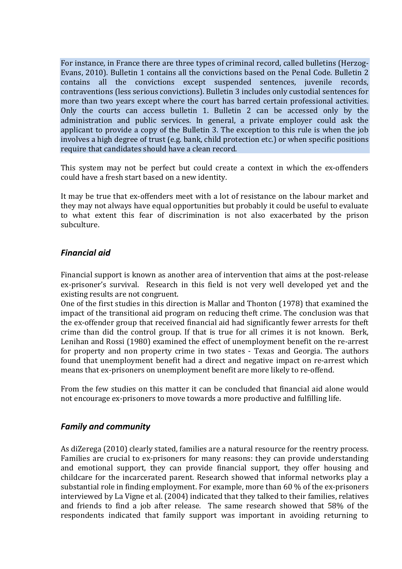For instance, in France there are three types of criminal record, called bulletins (Herzog-Evans, 2010). Bulletin 1 contains all the convictions based on the Penal Code. Bulletin 2 contains all the convictions except suspended sentences, juvenile records, contraventions (less serious convictions). Bulletin 3 includes only custodial sentences for more than two years except where the court has barred certain professional activities. Only the courts can access bulletin 1. Bulletin 2 can be accessed only by the administration and public services. In general, a private employer could ask the applicant to provide a copy of the Bulletin 3. The exception to this rule is when the job involves a high degree of trust (e.g. bank, child protection etc.) or when specific positions require that candidates should have a clean record.

This system may not be perfect but could create a context in which the ex-offenders could have a fresh start based on a new identity.

It may be true that ex-offenders meet with a lot of resistance on the labour market and they may not always have equal opportunities but probably it could be useful to evaluate to what extent this fear of discrimination is not also exacerbated by the prison subculture.

### *Financial aid*

Financial support is known as another area of intervention that aims at the post-release ex-prisoner's survival. Research in this field is not very well developed yet and the existing results are not congruent.

One of the first studies in this direction is Mallar and Thonton (1978) that examined the impact of the transitional aid program on reducing theft crime. The conclusion was that the ex-offender group that received financial aid had significantly fewer arrests for theft crime than did the control group. If that is true for all crimes it is not known. Berk, Lenihan and Rossi (1980) examined the effect of unemployment benefit on the re-arrest for property and non property crime in two states - Texas and Georgia. The authors found that unemployment benefit had a direct and negative impact on re-arrest which means that ex-prisoners on unemployment benefit are more likely to re-offend.

From the few studies on this matter it can be concluded that financial aid alone would not encourage ex-prisoners to move towards a more productive and fulfilling life.

### *Family and community*

As diZerega (2010) clearly stated, families are a natural resource for the reentry process. Families are crucial to ex-prisoners for many reasons: they can provide understanding and emotional support, they can provide financial support, they offer housing and childcare for the incarcerated parent. Research showed that informal networks play a substantial role in finding employment. For example, more than 60 % of the ex-prisoners interviewed by La Vigne et al. (2004) indicated that they talked to their families, relatives and friends to find a job after release. The same research showed that 58% of the respondents indicated that family support was important in avoiding returning to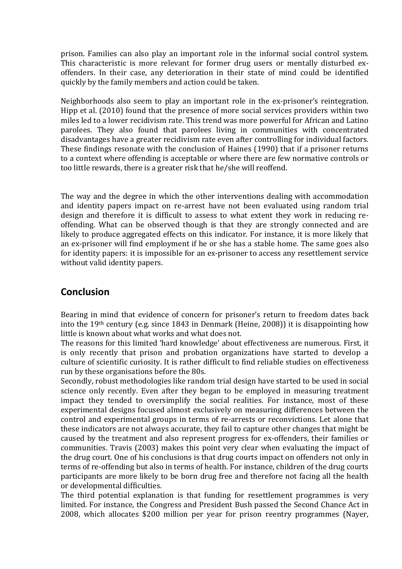prison. Families can also play an important role in the informal social control system. This characteristic is more relevant for former drug users or mentally disturbed exoffenders. In their case, any deterioration in their state of mind could be identified quickly by the family members and action could be taken.

Neighborhoods also seem to play an important role in the ex-prisoner's reintegration. Hipp et al. (2010) found that the presence of more social services providers within two miles led to a lower recidivism rate. This trend was more powerful for African and Latino parolees. They also found that parolees living in communities with concentrated disadvantages have a greater recidivism rate even after controlling for individual factors. These findings resonate with the conclusion of Haines (1990) that if a prisoner returns to a context where offending is acceptable or where there are few normative controls or too little rewards, there is a greater risk that he/she will reoffend.

The way and the degree in which the other interventions dealing with accommodation and identity papers impact on re-arrest have not been evaluated using random trial design and therefore it is difficult to assess to what extent they work in reducing reoffending. What can be observed though is that they are strongly connected and are likely to produce aggregated effects on this indicator. For instance, it is more likely that an ex-prisoner will find employment if he or she has a stable home. The same goes also for identity papers: it is impossible for an ex-prisoner to access any resettlement service without valid identity papers.

### **Conclusion**

Bearing in mind that evidence of concern for prisoner's return to freedom dates back into the 19th century (e.g. since 1843 in Denmark (Heine, 2008)) it is disappointing how little is known about what works and what does not.

The reasons for this limited 'hard knowledge' about effectiveness are numerous. First, it is only recently that prison and probation organizations have started to develop a culture of scientific curiosity. It is rather difficult to find reliable studies on effectiveness run by these organisations before the 80s.

Secondly, robust methodologies like random trial design have started to be used in social science only recently. Even after they began to be employed in measuring treatment impact they tended to oversimplify the social realities. For instance, most of these experimental designs focused almost exclusively on measuring differences between the control and experimental groups in terms of re-arrests or reconvictions. Let alone that these indicators are not always accurate, they fail to capture other changes that might be caused by the treatment and also represent progress for ex-offenders, their families or communities. Travis (2003) makes this point very clear when evaluating the impact of the drug court. One of his conclusions is that drug courts impact on offenders not only in terms of re-offending but also in terms of health. For instance, children of the drug courts participants are more likely to be born drug free and therefore not facing all the health or developmental difficulties.

The third potential explanation is that funding for resettlement programmes is very limited. For instance, the Congress and President Bush passed the Second Chance Act in 2008, which allocates \$200 million per year for prison reentry programmes (Nayer,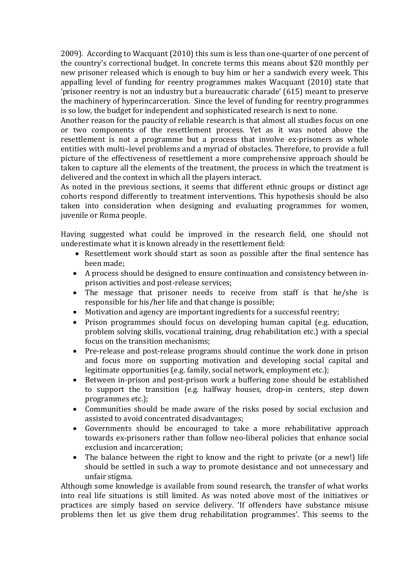2009). According to Wacquant (2010) this sum is less than one-quarter of one percent of the country's correctional budget. In concrete terms this means about \$20 monthly per new prisoner released which is enough to buy him or her a sandwich every week. This appalling level of funding for reentry programmes makes Wacquant (2010) state that 'prisoner reentry is not an industry but a bureaucratic charade' (615) meant to preserve the machinery of hyperincarceration. Since the level of funding for reentry programmes is so low, the budget for independent and sophisticated research is next to none.

Another reason for the paucity of reliable research is that almost all studies focus on one or two components of the resettlement process. Yet as it was noted above the resettlement is not a programme but a process that involve ex-prisoners as whole entities with multi–level problems and a myriad of obstacles. Therefore, to provide a full picture of the effectiveness of resettlement a more comprehensive approach should be taken to capture all the elements of the treatment, the process in which the treatment is delivered and the context in which all the players interact.

As noted in the previous sections, it seems that different ethnic groups or distinct age cohorts respond differently to treatment interventions. This hypothesis should be also taken into consideration when designing and evaluating programmes for women, juvenile or Roma people.

Having suggested what could be improved in the research field, one should not underestimate what it is known already in the resettlement field:

- Resettlement work should start as soon as possible after the final sentence has been made;
- A process should be designed to ensure continuation and consistency between inprison activities and post-release services;
- The message that prisoner needs to receive from staff is that he/she is responsible for his/her life and that change is possible;
- Motivation and agency are important ingredients for a successful reentry;<br>• Prison programmes should focus on developing human capital (e.g. ed
- Prison programmes should focus on developing human capital (e.g. education, problem solving skills, vocational training, drug rehabilitation etc.) with a special focus on the transition mechanisms;
- Pre-release and post-release programs should continue the work done in prison and focus more on supporting motivation and developing social capital and legitimate opportunities (e.g. family, social network, employment etc.);
- Between in-prison and post-prison work a buffering zone should be established to support the transition (e.g. halfway houses, drop-in centers, step down programmes etc.);
- Communities should be made aware of the risks posed by social exclusion and assisted to avoid concentrated disadvantages;
- Governments should be encouraged to take a more rehabilitative approach towards ex-prisoners rather than follow neo-liberal policies that enhance social exclusion and incarceration;
- The balance between the right to know and the right to private (or a new!) life should be settled in such a way to promote desistance and not unnecessary and unfair stigma.

Although some knowledge is available from sound research, the transfer of what works into real life situations is still limited. As was noted above most of the initiatives or practices are simply based on service delivery. 'If offenders have substance misuse problems then let us give them drug rehabilitation programmes'. This seems to the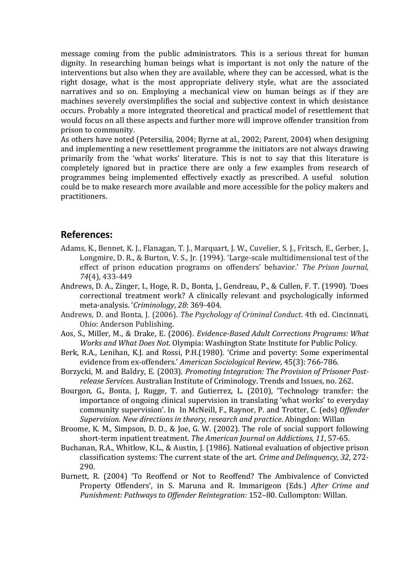message coming from the public administrators. This is a serious threat for human dignity. In researching human beings what is important is not only the nature of the interventions but also when they are available, where they can be accessed, what is the right dosage, what is the most appropriate delivery style, what are the associated narratives and so on. Employing a mechanical view on human beings as if they are machines severely oversimplifies the social and subjective context in which desistance occurs. Probably a more integrated theoretical and practical model of resettlement that would focus on all these aspects and further more will improve offender transition from prison to community.

As others have noted (Petersilia, 2004; Byrne at al., 2002; Parent, 2004) when designing and implementing a new resettlement programme the initiators are not always drawing primarily from the 'what works' literature. This is not to say that this literature is completely ignored but in practice there are only a few examples from research of programmes being implemented effectively exactly as prescribed. A useful solution could be to make research more available and more accessible for the policy makers and practitioners.

### **References:**

- Adams, K., Bennet, K. J., Flanagan, T. J., Marquart, J. W., Cuvelier, S. J., Fritsch, E., Gerber, J., Longmire, D. R., & Burton, V. S., Jr. (1994). 'Large-scale multidimensional test of the effect of prison education programs on offenders' behavior.' *The Prison Journal*, *74*(4), 433-449
- Andrews, D. A., Zinger, I., Hoge, R. D., Bonta, J., Gendreau, P., & Cullen, F. T. (1990). 'Does correctional treatment work? A clinically relevant and psychologically informed meta-analysis. '*Criminology*, *28*: 369-404.
- Andrews, D. and Bonta, J. (2006). *The Psychology of Criminal Conduct*. 4th ed. Cincinnati, Ohio: Anderson Publishing.
- Aos, S., Miller, M., & Drake, E. (2006). *Evidence-Based Adult Corrections Programs: What Works and What Does Not*. Olympia: Washington State Institute for Public Policy.
- Berk, R.A., Lenihan, K.J. and Rossi, P.H.(1980). 'Crime and poverty: Some experimental evidence from ex-offenders.' *American Sociological Review*, 45(3): 766-786.
- Borzycki, M. and Baldry, E. (2003). *Promoting Integration: The Provision of Prisoner Postrelease Services.* Australian Institute of Criminology. Trends and Issues, no. 262.
- Bourgon, G., Bonta, J, Rugge, T. and Gutierrez, L. (2010), 'Technology transfer: the importance of ongoing clinical supervision in translating 'what works' to everyday community supervision'. In In McNeill, F., Raynor, P. and Trotter, C. (eds) *Offender Supervision. New directions in theory, research and practice*. Abingdon: Willan
- Broome, K. M., Simpson, D. D., & Joe, G. W. (2002). The role of social support following short-term inpatient treatment. *The American Journal on Addictions, 11*, 57-65.
- Buchanan, R.A., Whitlow, K.L., & Austin, J. (1986). National evaluation of objective prison classification systems: The current state of the art. *Crime and Delinquency, 32*, 272- 290.
- Burnett, R. (2004) 'To Reoffend or Not to Reoffend? The Ambivalence of Convicted Property Offenders', in S. Maruna and R. Immarigeon (Eds.) *After Crime and Punishment: Pathways to Offender Reintegration:* 152–80. Cullompton: Willan.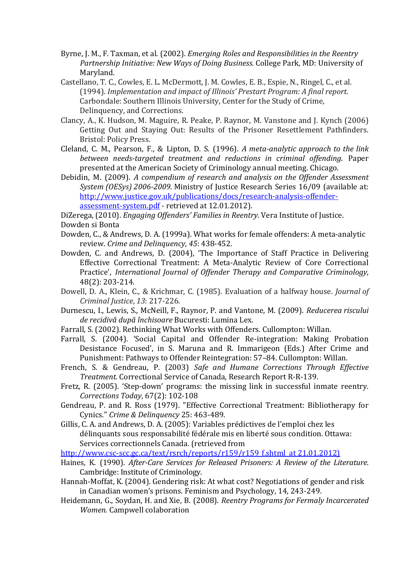- Byrne, J. M., F. Taxman, et al. (2002). *Emerging Roles and Responsibilities in the Reentry Partnership Initiative: New Ways of Doing Business.* College Park, MD: University of Maryland.
- Castellano, T. C., Cowles, E. L. McDermott, J. M. Cowles, E. B., Espie, N., Ringel, C., et al. (1994). *Implementation and impact of Illinois' Prestart Program: A final report*. Carbondale: Southern Illinois University, Center for the Study of Crime, Delinquency, and Corrections.
- Clancy, A., K. Hudson, M. Maguire, R. Peake, P. Raynor, M. Vanstone and J. Kynch (2006) Getting Out and Staying Out: Results of the Prisoner Resettlement Pathfinders. Bristol: Policy Press.
- Cleland, C. M., Pearson, F., & Lipton, D. S. (1996). *A meta-analytic approach to the link between needs-targeted treatment and reductions in criminal offending*. Paper presented at the American Society of Criminology annual meeting. Chicago.
- Debidin, M. (2009). *A compendium of research and analysis on the Offender Assessment System (OESys) 2006-2009.* Ministry of Justice Research Series 16/09 (available at: [http://www.justice.gov.uk/publications/docs/research-analysis-offender](http://www.justice.gov.uk/publications/docs/research-analysis-offender-assessment-system.pdf)[assessment-system.pdf](http://www.justice.gov.uk/publications/docs/research-analysis-offender-assessment-system.pdf) - retrieved at 12.01.2012).

DiZerega, (2010). *Engaging Offenders' Families in Reentry*. Vera Institute of Justice.

- Dowden, C., & Andrews, D. A. (1999a). What works for female offenders: A meta-analytic review. *Crime and Delinquency*, *45*: 438-452.
- Dowden, C. and Andrews, D. (2004), 'The Importance of Staff Practice in Delivering Effective Correctional Treatment: A Meta-Analytic Review of Core Correctional Practice', *International Journal of Offender Therapy and Comparative Criminology,* 48(2): 203-214.
- Dowell, D. A., Klein, C., & Krichmar, C. (1985). Evaluation of a halfway house. *Journal of Criminal Justice*, *13*: 217-226.
- Durnescu, I., Lewis, S., McNeill, F., Raynor, P. and Vantone, M. (2009). *Reducerea riscului de recidivă după închisoare* Bucuresti: Lumina Lex.
- Farrall, S. (2002). Rethinking What Works with Offenders. Cullompton: Willan.
- Farrall, S. (2004). 'Social Capital and Offender Re-integration: Making Probation Desistance Focused', in S. Maruna and R. Immarigeon (Eds.) After Crime and Punishment: Pathways to Offender Reintegration: 57–84. Cullompton: Willan.
- French, S. & Gendreau, P. (2003) *Safe and Humane Corrections Through Effective Treatment.* Correctional Service of Canada, Research Report R-R-139.
- Fretz, R. (2005). 'Step-down' programs: the missing link in successful inmate reentry. *Corrections Today*, 67(2): 102-108
- Gendreau, P. and R. Ross (1979). "Effective Correctional Treatment: Bibliotherapy for Cynics." *Crime & Delinquency* 25: 463-489.
- Gillis, C. A. and Andrews, D. A. (2005): Variables prédictives de l'emploi chez les délinquants sous responsabilité fédérale mis en liberté sous condition. Ottawa: Services correctionnels Canada. (retrieved from
- [http://www.csc-scc.gc.ca/text/rsrch/reports/r159/r159\\_f.shtml](http://www.csc-scc.gc.ca/text/rsrch/reports/r159/r159_f.shtml) at 21.01.2012)
- Haines, K. (1990). *After-Care Services for Released Prisoners: A Review of the Literature.* Cambridge: Institute of Criminology.
- Hannah-Moffat, K. (2004). Gendering risk: At what cost? Negotiations of gender and risk in Canadian women's prisons. Feminism and Psychology, 14, 243-249.
- Heidemann, G., Soydan, H. and Xie, B. (2008). *Reentry Programs for Fermaly Incarcerated Women.* Campwell colaboration

Dowden si Bonta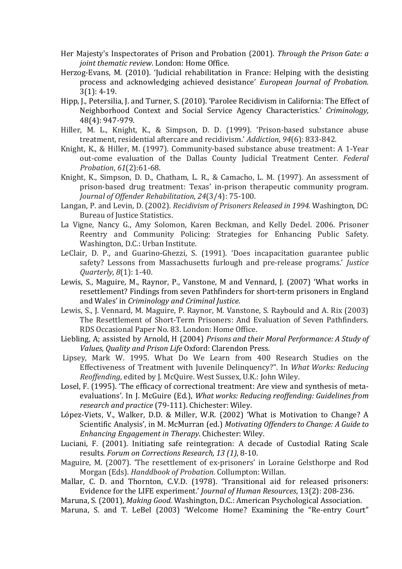- Her Majesty's Inspectorates of Prison and Probation (2001). *Through the Prison Gate: a joint thematic review*. London: Home Office.
- Herzog-Evans, M. (2010). 'Judicial rehabilitation in France: Helping with the desisting process and acknowledging achieved desistance' *European Journal of Probation.*  3(1): 4-19.
- Hipp, J., Petersilia, J. and Turner, S. (2010). 'Parolee Recidivism in California: The Effect of Neighborhood Context and Social Service Agency Characteristics.' *Criminology,*  48(4): 947-979.
- Hiller, M. L., Knight, K., & Simpson, D. D. (1999). 'Prison-based substance abuse treatment, residential aftercare and recidivism.' *Addiction*, *94*(6): 833-842.
- Knight, K., & Hiller, M. (1997). Community-based substance abuse treatment: A 1-Year out-come evaluation of the Dallas County Judicial Treatment Center. *Federal Probation*, *61*(2):61-68.
- Knight, K., Simpson, D. D., Chatham, L. R., & Camacho, L. M. (1997). An assessment of prison-based drug treatment: Texas' in-prison therapeutic community program. *Journal of Offender Rehabilitation*, *24*(3/4): 75-100.
- Langan, P. and Levin, D. (2002). *Recidivism of Prisoners Released in 1994.* Washington, DC: Bureau of Justice Statistics.
- La Vigne, Nancy G., Amy Solomon, Karen Beckman, and Kelly Dedel. 2006. Prisoner Reentry and Community Policing: Strategies for Enhancing Public Safety. Washington, D.C.: Urban Institute.
- LeClair, D. P., and Guarino-Ghezzi, S. (1991). 'Does incapacitation guarantee public safety? Lessons from Massachusetts furlough and pre-release programs.' *Justice Quarterly*, *8*(1): 1-40.
- Lewis, S., Maguire, M., Raynor, P., Vanstone, M and Vennard, J. (2007) 'What works in resettlement? Findings from seven Pathfinders for short-term prisoners in England and Wales' in *Criminology and Criminal Justice.*
- Lewis, S., J. Vennard, M. Maguire, P. Raynor, M. Vanstone, S. Raybould and A. Rix (2003) The Resettlement of Short-Term Prisoners: And Evaluation of Seven Pathfinders. RDS Occasional Paper No. 83. London: Home Office.
- Liebling, A; assisted by Arnold, H (2004) *Prisons and their Moral Performance: A Study of Values, Quality and Prison Life* Oxford: Clarendon Press.
- Lipsey, Mark W. 1995. What Do We Learn from 400 Research Studies on the Effectiveness of Treatment with Juvenile Delinquency?". In *What Works: Reducing Reoffending*, edited by J. McQuire. West Sussex, U.K.: John Wiley.
- Losel, F. (1995). 'The efficacy of correctional treatment: Are view and synthesis of metaevaluations'. In J. McGuire (Ed.), *What works: Reducing reoffending: Guidelines from research and practice* (79-111). Chichester: Wiley.
- López-Viets, V., Walker, D.D. & Miller, W.R. (2002) 'What is Motivation to Change? A Scientific Analysis', in M. McMurran (ed.) *Motivating Offenders to Change: A Guide to Enhancing Engagement in Therapy*. Chichester: Wiley.
- Luciani, F. (2001). Initiating safe reintegration: A decade of Custodial Rating Scale results*. Forum on Corrections Research, 13 (1)*, 8-10.
- Maguire, M. (2007). 'The resettlement of ex-prisoners' in Loraine Gelsthorpe and Rod Morgan (Eds). *Handdbook of Probation.* Collumpton: Willan.
- Mallar, C. D. and Thornton, C.V.D. (1978). 'Transitional aid for released prisoners: Evidence for the LIFE experiment.' *Journal of Human Resources*, 13(2): 208-236.
- Maruna, S. (2001), *Making Good*. Washington, D.C.: American Psychological Association.
- Maruna, S. and T. LeBel (2003) 'Welcome Home? Examining the "Re-entry Court"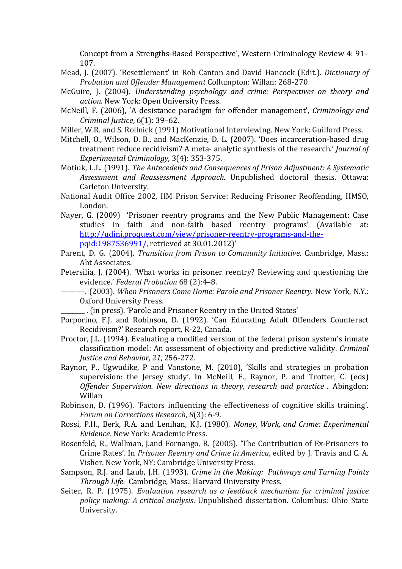Concept from a Strengths-Based Perspective', Western Criminology Review 4: 91– 107.

- Mead, J. (2007). 'Resettlement' in Rob Canton and David Hancock (Edit.). *Dictionary of Probation and Offender Management* Collumpton: Willan: 268-270
- McGuire, J. (2004). *Understanding psychology and crime: Perspectives on theory and action*. New York: Open University Press.
- McNeill, F. (2006), 'A desistance paradigm for offender management', *Criminology and Criminal Justice*, 6(1): 39–62.
- Miller, W.R. and S. Rollnick (1991) Motivational Interviewing. New York: Guilford Press.
- Mitchell, O., Wilson, D. B., and MacKenzie, D. L. (2007). 'Does incarceration-based drug treatment reduce recidivism? A meta- analytic synthesis of the research.' *Journal of Experimental Criminology*, 3(4): 353-375.
- Motiuk, L.L. (1991). *The Antecedents and Consequences of Prison Adjustment: A Systematic Assessment and Reassessment Approach.* Unpublished doctoral thesis. Ottawa: Carleton University.
- National Audit Office 2002, HM Prison Service: Reducing Prisoner Reoffending, HMSO, London.
- Nayer, G. (2009) 'Prisoner reentry programs and the New Public Management: Case studies in faith and non-faith based reentry programs' (Available at: [http://udini.proquest.com/view/prisoner-reentry-programs-and-the](http://udini.proquest.com/view/prisoner-reentry-programs-and-the-pqid:1987536991/)[pqid:1987536991/,](http://udini.proquest.com/view/prisoner-reentry-programs-and-the-pqid:1987536991/) retrieved at 30.01.2012)'
- Parent, D. G. (2004). *Transition from Prison to Community Initiative*. Cambridge, Mass.: Abt Associates.
- Petersilia, J. (2004). 'What works in prisoner reentry? Reviewing and questioning the evidence.' *Federal Probation* 68 (2):4–8.
- ———. (2003). *When Prisoners Come Home: Parole and Prisoner Reentry*. New York, N.Y.: Oxford University Press.
	- \_\_\_\_\_\_\_\_ . (in press). 'Parole and Prisoner Reentry in the United States'
- Porporino, F.J. and Robinson, D. (1992). 'Can Educating Adult Offenders Counteract Recidivism?' Research report, R-22, Canada.
- Proctor, J.L. (1994). Evaluating a modified version of the federal prison system's inmate classification model: An assessment of objectivity and predictive validity. *Criminal Justice and Behavior, 21*, 256-272.
- Raynor, P., Ugwudike, P and Vanstone, M. (2010), 'Skills and strategies in probation supervision: the Jersey study'. In McNeill, F., Raynor, P. and Trotter, C. (eds) *Offender Supervision. New directions in theory, research and practice* . Abingdon: Willan
- Robinson, D. (1996). 'Factors influencing the effectiveness of cognitive skills training'. *Forum on Corrections Research*, *8*(3): 6-9.
- Rossi, P.H., Berk, R.A. and Lenihan, K.J. (1980). *Money, Work, and Crime: Experimental Evidence*. New York: Academic Press.
- Rosenfeld, R., Wallman, J.and Fornango, R. (2005). 'The Contribution of Ex-Prisoners to Crime Rates'. In *Prisoner Reentry and Crime in America*, edited by J. Travis and C. A. Visher. New York, NY: Cambridge University Press.
- Sampson, R.J. and Laub, J.H. (1993). *Crime in the Making: Pathways and Turning Points Through Life.* Cambridge, Mass.: Harvard University Press.
- Seiter, R. P. (1975). *Evaluation research as a feedback mechanism for criminal justice policy making: A critical analysis*. Unpublished dissertation. Columbus: Ohio State University.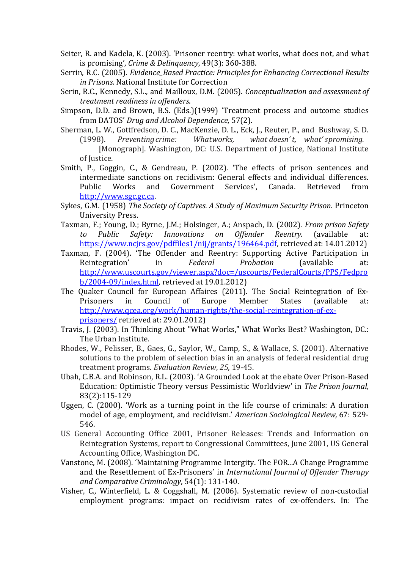- Seiter, R. and Kadela, K. (2003). 'Prisoner reentry: what works, what does not, and what is promising', *Crime & Delinquency*, 49(3): 360-388.
- Serrin, R.C. (2005). *Evidence\_Based Practice: Principles for Enhancing Correctional Results in Prisons.* National Institute for Correction
- Serin, R.C., Kennedy, S.L., and Mailloux, D.M. (2005). *Conceptualization and assessment of treatment readiness in offenders*.
- Simpson, D.D. and Brown, B.S. (Eds.)(1999) 'Treatment process and outcome studies from DATOS' *Drug and Alcohol Dependence,* 57(2).
- Sherman, L. W., Gottfredson, D. C., MacKenzie, D. L., Eck, J., Reuter, P., and Bushway, S. D.<br>(1998). Preventing crime: Whatworks, what doesn't, what's promising.  $what doesn't, what's promising.$ 
	- [Monograph]. Washington, DC: U.S. Department of Justice, National Institute of Justice.
- Smith, P., Goggin, C., & Gendreau, P. (2002). 'The effects of prison sentences and intermediate sanctions on recidivism: General effects and individual differences.<br>Public Works and Government Services', Canada. Retrieved from Public Works and Government Services', Canada. Retrieved from [http://www.sgc.gc.ca.](http://www.sgc.gc.ca/)
- Sykes, G.M. (1958) *The Society of Captives. A Study of Maximum Security Prison*. Princeton University Press.
- Taxman, F.; Young, D.; Byrne, J.M.; Holsinger, A.; Anspach, D. (2002). *From prison Safety Safety: Innovations on* [https://www.ncjrs.gov/pdffiles1/nij/grants/196464.pdf,](https://www.ncjrs.gov/pdffiles1/nij/grants/196464.pdf) retrieved at: 14.01.2012)
- Taxman, F. (2004). 'The Offender and Reentry: Supporting Active Participation in<br>Reintegration' in Federal Probation (available at: Reintegration' in *Federal Probation* (available at: [http://www.uscourts.gov/viewer.aspx?doc=/uscourts/FederalCourts/PPS/Fedpro](http://www.uscourts.gov/viewer.aspx?doc=/uscourts/FederalCourts/PPS/Fedprob/2004-09/index.html) [b/2004-09/index.html,](http://www.uscourts.gov/viewer.aspx?doc=/uscourts/FederalCourts/PPS/Fedprob/2004-09/index.html) retrieved at 19.01.2012)
- The Quaker Council for European Affaires (2011). The Social Reintegration of Ex-<br>Prisoners in Council of Europe Member States (available at: Prisoners in Council of Europe Member States (available at: [http://www.qcea.org/work/human-rights/the-social-reintegration-of-ex](http://www.qcea.org/work/human-rights/the-social-reintegration-of-ex-prisoners/)[prisoners/](http://www.qcea.org/work/human-rights/the-social-reintegration-of-ex-prisoners/) retrieved at: 29.01.2012)
- Travis, J. (2003). In Thinking About "What Works," What Works Best? Washington, DC.: The Urban Institute.
- Rhodes, W., Pelisser, B., Gaes, G., Saylor, W., Camp, S., & Wallace, S. (2001). Alternative solutions to the problem of selection bias in an analysis of federal residential drug treatment programs. *Evaluation Review*, *25*, 19-45.
- Ubah, C.B.A. and Robinson, R.L. (2003). 'A Grounded Look at the ebate Over Prison-Based Education: Optimistic Theory versus Pessimistic Worldview' in *The Prison Journal,*  83(2):115-129
- Uggen, C. (2000). 'Work as a turning point in the life course of criminals: A duration model of age, employment, and recidivism.' *American Sociological Review,* 67: 529- 546.
- US General Accounting Office 2001, Prisoner Releases: Trends and Information on Reintegration Systems, report to Congressional Committees, June 2001, US General Accounting Office, Washington DC.
- Vanstone, M. (2008). 'Maintaining Programme Intergity. The FOR...A Change Programme and the Resettlement of Ex-Prisoners' in *International Journal of Offender Therapy and Comparative Criminology*, 54(1): 131-140.
- Visher, C., Winterfield, L. & Coggshall, M. (2006). Systematic review of non-custodial employment programs: impact on recidivism rates of ex-offenders. In: The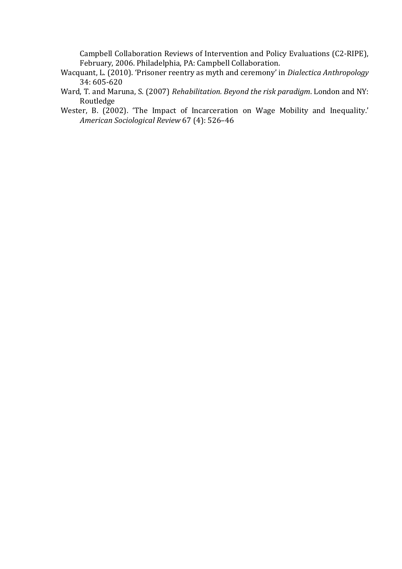Campbell Collaboration Reviews of Intervention and Policy Evaluations (C2-RIPE), February, 2006. Philadelphia, PA: Campbell Collaboration.

- Wacquant, L. (2010). 'Prisoner reentry as myth and ceremony' in *Dialectica Anthropology*  34: 605-620
- Ward, T. and Maruna, S. (2007) *Rehabilitation. Beyond the risk paradigm*. London and NY: Routledge
- Wester, B. (2002). 'The Impact of Incarceration on Wage Mobility and Inequality.' *American Sociological Review* 67 (4): 526–46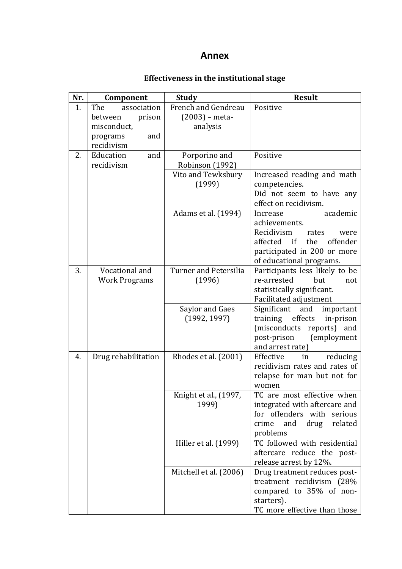## **Annex**

# **Effectiveness in the institutional stage**

| Nr. | Component            | <b>Study</b>                    | <b>Result</b>                                                    |
|-----|----------------------|---------------------------------|------------------------------------------------------------------|
| 1.  | The<br>association   | French and Gendreau             | Positive                                                         |
|     | prison<br>between    | $(2003)$ – meta-                |                                                                  |
|     | misconduct,          | analysis                        |                                                                  |
|     | programs<br>and      |                                 |                                                                  |
|     | recidivism           |                                 |                                                                  |
| 2.  | Education<br>and     | Porporino and                   | Positive                                                         |
|     | recidivism           | Robinson (1992)                 |                                                                  |
|     |                      | Vito and Tewksbury<br>(1999)    | Increased reading and math<br>competencies.                      |
|     |                      |                                 | Did not seem to have any                                         |
|     |                      |                                 | effect on recidivism.                                            |
|     |                      | Adams et al. (1994)             | Increase<br>academic                                             |
|     |                      |                                 | achievements.                                                    |
|     |                      |                                 | Recidivism<br>rates<br>were                                      |
|     |                      |                                 | affected if the offender                                         |
|     |                      |                                 | participated in 200 or more                                      |
|     |                      |                                 | of educational programs.                                         |
| 3.  | Vocational and       | <b>Turner and Petersilia</b>    | Participants less likely to be                                   |
|     | <b>Work Programs</b> | (1996)                          | re-arrested<br>but<br>not                                        |
|     |                      |                                 | statistically significant.                                       |
|     |                      |                                 | Facilitated adjustment                                           |
|     |                      | Saylor and Gaes<br>(1992, 1997) | Significant<br>and<br>important<br>training effects<br>in-prison |
|     |                      |                                 | (misconducts reports)<br>and                                     |
|     |                      |                                 | post-prison<br>(employment                                       |
|     |                      |                                 | and arrest rate)                                                 |
| 4.  | Drug rehabilitation  | Rhodes et al. (2001)            | Effective<br>reducing<br>in                                      |
|     |                      |                                 | recidivism rates and rates of                                    |
|     |                      |                                 | relapse for man but not for                                      |
|     |                      |                                 | women                                                            |
|     |                      | Knight et al., (1997,           | TC are most effective when                                       |
|     |                      | 1999)                           | integrated with aftercare and                                    |
|     |                      |                                 | for offenders with serious                                       |
|     |                      |                                 | crime<br>and<br>drug<br>related<br>problems                      |
|     |                      | Hiller et al. (1999)            | TC followed with residential                                     |
|     |                      |                                 | aftercare reduce the post-                                       |
|     |                      |                                 | release arrest by 12%.                                           |
|     |                      | Mitchell et al. (2006)          | Drug treatment reduces post-                                     |
|     |                      |                                 | treatment recidivism (28%                                        |
|     |                      |                                 | compared to 35% of non-                                          |
|     |                      |                                 | starters).                                                       |
|     |                      |                                 | TC more effective than those                                     |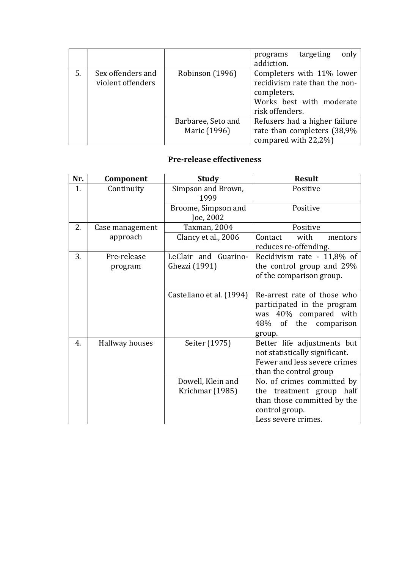|    |                                        |                                    | only<br>targeting<br>programs<br>addiction.                                                                              |
|----|----------------------------------------|------------------------------------|--------------------------------------------------------------------------------------------------------------------------|
| 5. | Sex offenders and<br>violent offenders | Robinson (1996)                    | Completers with 11% lower<br>recidivism rate than the non-<br>completers.<br>Works best with moderate<br>risk offenders. |
|    |                                        | Barbaree, Seto and<br>Maric (1996) | Refusers had a higher failure<br>rate than completers (38,9%<br>compared with 22,2%)                                     |

### **Pre-release effectiveness**

| Nr. | Component              | <b>Study</b>                          | <b>Result</b>                                                                                                           |
|-----|------------------------|---------------------------------------|-------------------------------------------------------------------------------------------------------------------------|
| 1.  | Continuity             | Simpson and Brown,<br>1999            | Positive                                                                                                                |
|     |                        | Broome, Simpson and<br>Joe, 2002      | Positive                                                                                                                |
| 2.  | Case management        | Taxman, 2004                          | Positive                                                                                                                |
|     | approach               | Clancy et al., 2006                   | Contact<br>with<br>mentors<br>reduces re-offending.                                                                     |
| 3.  | Pre-release<br>program | LeClair and Guarino-<br>Ghezzi (1991) | Recidivism rate - 11,8% of<br>the control group and 29%<br>of the comparison group.                                     |
|     |                        | Castellano et al. (1994)              | Re-arrest rate of those who<br>participated in the program<br>was 40% compared with<br>48% of the comparison<br>group.  |
| 4.  | Halfway houses         | Seiter (1975)                         | Better life adjustments but<br>not statistically significant.<br>Fewer and less severe crimes<br>than the control group |
|     |                        | Dowell, Klein and                     | No. of crimes committed by                                                                                              |
|     |                        | Krichmar (1985)                       | treatment group half<br>the                                                                                             |
|     |                        |                                       | than those committed by the<br>control group.                                                                           |
|     |                        |                                       | Less severe crimes.                                                                                                     |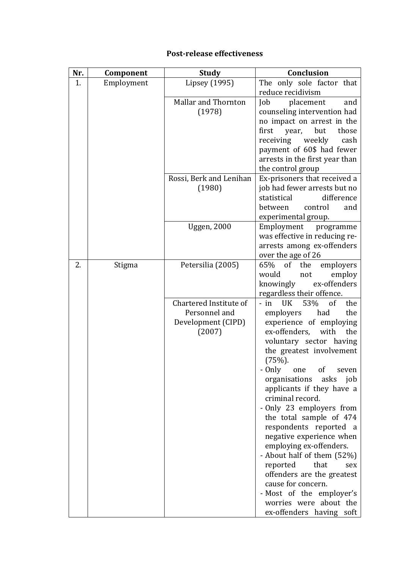# **Post-release effectiveness**

| Nr. | Component  | <b>Study</b>               | <b>Conclusion</b>                                            |
|-----|------------|----------------------------|--------------------------------------------------------------|
| 1.  | Employment | Lipsey (1995)              | The only sole factor that                                    |
|     |            |                            | reduce recidivism                                            |
|     |            | <b>Mallar and Thornton</b> | Job<br>placement<br>and                                      |
|     |            | (1978)                     | counseling intervention had                                  |
|     |            |                            | no impact on arrest in the<br>first<br>but<br>year,<br>those |
|     |            |                            | receiving<br>weekly<br>cash                                  |
|     |            |                            | payment of 60\$ had fewer                                    |
|     |            |                            | arrests in the first year than                               |
|     |            |                            | the control group                                            |
|     |            | Rossi, Berk and Lenihan    | Ex-prisoners that received a                                 |
|     |            | (1980)                     | job had fewer arrests but no                                 |
|     |            |                            | difference<br>statistical                                    |
|     |            |                            | between<br>control<br>and                                    |
|     |            |                            | experimental group.                                          |
|     |            | <b>Uggen</b> , 2000        | Employment programme                                         |
|     |            |                            | was effective in reducing re-<br>arrests among ex-offenders  |
|     |            |                            | over the age of 26                                           |
| 2.  | Stigma     | Petersilia (2005)          | 65% of<br>the<br>employers                                   |
|     |            |                            | would<br>employ<br>not                                       |
|     |            |                            | ex-offenders<br>knowingly                                    |
|     |            |                            | regardless their offence.                                    |
|     |            | Chartered Institute of     | $-$ in<br>53%<br>UK<br><sub>of</sub><br>the                  |
|     |            | Personnel and              | the<br>employers<br>had                                      |
|     |            | Development (CIPD)         | experience of employing                                      |
|     |            | (2007)                     | ex-offenders,<br>with<br>the                                 |
|     |            |                            | voluntary sector having<br>the greatest involvement          |
|     |            |                            | $(75%)$ .                                                    |
|     |            |                            | - Only one of seven                                          |
|     |            |                            | organisations<br>asks<br>job                                 |
|     |            |                            | applicants if they have a                                    |
|     |            |                            | criminal record.                                             |
|     |            |                            | - Only 23 employers from                                     |
|     |            |                            | the total sample of 474                                      |
|     |            |                            | respondents reported a                                       |
|     |            |                            | negative experience when                                     |
|     |            |                            | employing ex-offenders.<br>- About half of them (52%)        |
|     |            |                            | reported<br>that<br>sex                                      |
|     |            |                            | offenders are the greatest                                   |
|     |            |                            | cause for concern.                                           |
|     |            |                            | - Most of the employer's                                     |
|     |            |                            | worries were about the                                       |
|     |            |                            | ex-offenders having soft                                     |